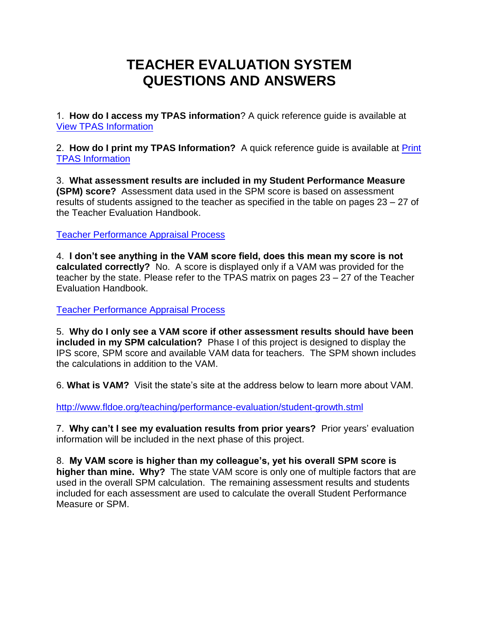## **TEACHER EVALUATION SYSTEM QUESTIONS AND ANSWERS**

1. **How do I access my TPAS information**? A quick reference guide is available at [View TPAS Information](https://www.stlucie.k12.fl.us/pdf/departments/human-resources/View-TPAS-Information.pdf)

2. **How do I print my TPAS Information?** A quick reference guide is available at Print [TPAS Information](https://www.stlucie.k12.fl.us/pdf/departments/human-resources/Print-TPAS-Information.pdf)

3. **What assessment results are included in my Student Performance Measure (SPM) score?** Assessment data used in the SPM score is based on assessment results of students assigned to the teacher as specified in the table on pages 23 – 27 of the Teacher Evaluation Handbook.

[Teacher Performance Appraisal Process](https://www.stlucie.k12.fl.us/pdf/departments/human-resources/teacher-performance-system.pdf)

4. **I don't see anything in the VAM score field, does this mean my score is not calculated correctly?** No. A score is displayed only if a VAM was provided for the teacher by the state. Please refer to the TPAS matrix on pages 23 – 27 of the Teacher Evaluation Handbook.

[Teacher Performance Appraisal Process](https://www.stlucie.k12.fl.us/pdf/departments/human-resources/teacher-performance-system.pdf)

5. **Why do I only see a VAM score if other assessment results should have been included in my SPM calculation?** Phase I of this project is designed to display the IPS score, SPM score and available VAM data for teachers. The SPM shown includes the calculations in addition to the VAM.

6. **What is VAM?** Visit the state's site at the address below to learn more about VAM.

<http://www.fldoe.org/teaching/performance-evaluation/student-growth.stml>

7. **Why can't I see my evaluation results from prior years?** Prior years' evaluation information will be included in the next phase of this project.

8. **My VAM score is higher than my colleague's, yet his overall SPM score is higher than mine. Why?** The state VAM score is only one of multiple factors that are used in the overall SPM calculation. The remaining assessment results and students included for each assessment are used to calculate the overall Student Performance Measure or SPM.